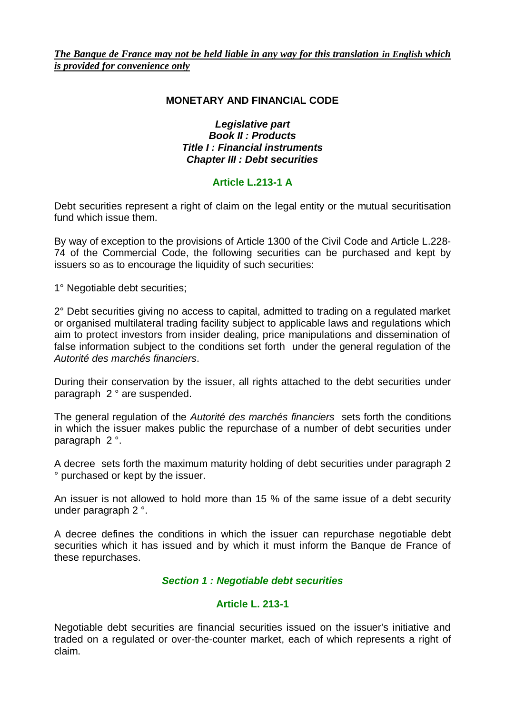### **MONETARY AND FINANCIAL CODE**

#### *Legislative part Book II : Products Title I : Financial instruments Chapter III : Debt securities*

# **Article L.213-1 A**

Debt securities represent a right of claim on the legal entity or the mutual securitisation fund which issue them.

By way of exception to the provisions of Article 1300 of the Civil Code and Article L.228- 74 of the Commercial Code, the following securities can be purchased and kept by issuers so as to encourage the liquidity of such securities:

1° Negotiable debt securities;

2° Debt securities giving no access to capital, admitted to trading on a regulated market or organised multilateral trading facility subject to applicable laws and regulations which aim to protect investors from insider dealing, price manipulations and dissemination of false information subject to the conditions set forth under the general regulation of the *Autorité des marchés financiers*.

During their conservation by the issuer, all rights attached to the debt securities under paragraph 2 ° are suspended.

The general regulation of the *Autorité des marchés financiers* sets forth the conditions in which the issuer makes public the repurchase of a number of debt securities under paragraph 2 °.

A decree sets forth the maximum maturity holding of debt securities under paragraph 2 ° purchased or kept by the issuer.

An issuer is not allowed to hold more than 15 % of the same issue of a debt security under paragraph 2 °.

A decree defines the conditions in which the issuer can repurchase negotiable debt securities which it has issued and by which it must inform the Banque de France of these repurchases.

## *Section 1 : Negotiable debt securities*

## **Article L. 213-1**

Negotiable debt securities are financial securities issued on the issuer's initiative and traded on a regulated or over-the-counter market, each of which represents a right of claim.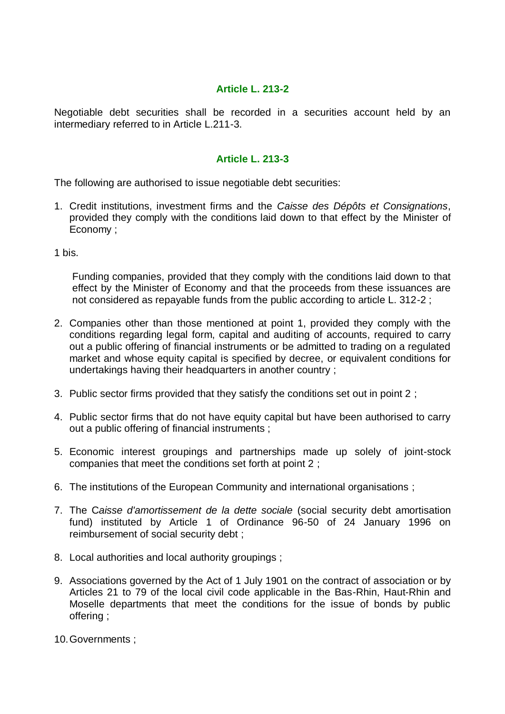### **Article L. 213-2**

Negotiable debt securities shall be recorded in a securities account held by an intermediary referred to in Article L.211-3.

### **Article L. 213-3**

The following are authorised to issue negotiable debt securities:

- 1. Credit institutions, investment firms and the *Caisse des Dépôts et Consignations*, provided they comply with the conditions laid down to that effect by the Minister of Economy ;
- 1 bis.

Funding companies, provided that they comply with the conditions laid down to that effect by the Minister of Economy and that the proceeds from these issuances are not considered as repayable funds from the public according to article L. 312-2 ;

- 2. Companies other than those mentioned at point 1, provided they comply with the conditions regarding legal form, capital and auditing of accounts, required to carry out a public offering of financial instruments or be admitted to trading on a regulated market and whose equity capital is specified by decree, or equivalent conditions for undertakings having their headquarters in another country ;
- 3. Public sector firms provided that they satisfy the conditions set out in point 2 ;
- 4. Public sector firms that do not have equity capital but have been authorised to carry out a public offering of financial instruments ;
- 5. Economic interest groupings and partnerships made up solely of joint-stock companies that meet the conditions set forth at point 2 ;
- 6. The institutions of the European Community and international organisations ;
- 7. The C*aisse d'amortissement de la dette sociale* (social security debt amortisation fund) instituted by Article 1 of Ordinance 96-50 of 24 January 1996 on reimbursement of social security debt ;
- 8. Local authorities and local authority groupings ;
- 9. Associations governed by the Act of 1 July 1901 on the contract of association or by Articles 21 to 79 of the local civil code applicable in the Bas-Rhin, Haut-Rhin and Moselle departments that meet the conditions for the issue of bonds by public offering ;
- 10.Governments ;